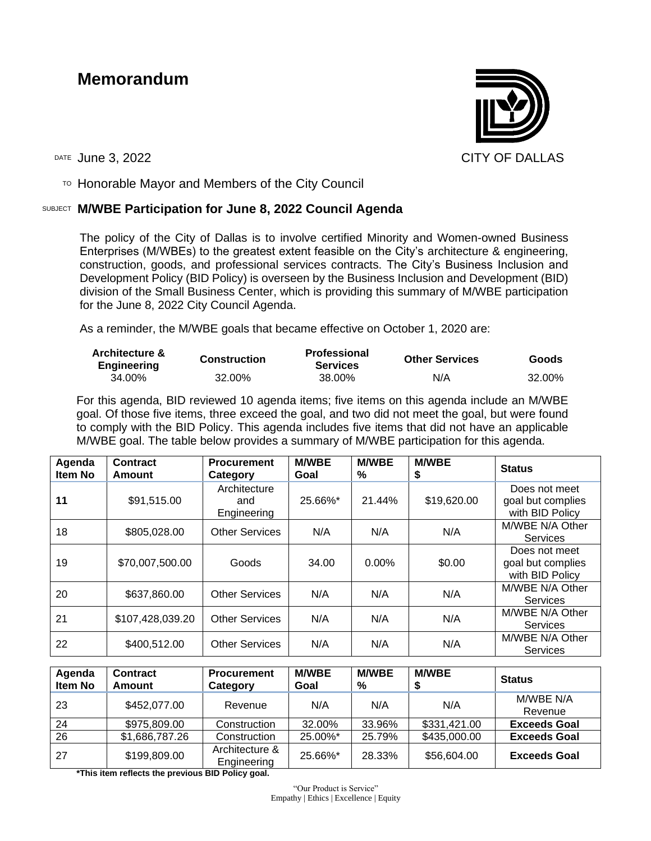# **Memorandum**



TO Honorable Mayor and Members of the City Council

#### SUBJECT **M/WBE Participation for June 8, 2022 Council Agenda**

The policy of the City of Dallas is to involve certified Minority and Women-owned Business Enterprises (M/WBEs) to the greatest extent feasible on the City's architecture & engineering, construction, goods, and professional services contracts. The City's Business Inclusion and Development Policy (BID Policy) is overseen by the Business Inclusion and Development (BID) division of the Small Business Center, which is providing this summary of M/WBE participation for the June 8, 2022 City Council Agenda.

As a reminder, the M/WBE goals that became effective on October 1, 2020 are:

| <b>Architecture &amp;</b><br><b>Engineering</b> | <b>Construction</b> | <b>Professional</b><br><b>Services</b> | <b>Other Services</b> | Goods              |
|-------------------------------------------------|---------------------|----------------------------------------|-----------------------|--------------------|
| 34.00%                                          | 32.00%              | 38.00%                                 | N/A                   | 32.00 <sup>%</sup> |

For this agenda, BID reviewed 10 agenda items; five items on this agenda include an M/WBE goal. Of those five items, three exceed the goal, and two did not meet the goal, but were found to comply with the BID Policy. This agenda includes five items that did not have an applicable M/WBE goal. The table below provides a summary of M/WBE participation for this agenda.

| Agenda<br><b>Item No</b> | <b>Contract</b><br>Amount | <b>Procurement</b><br>Category     | <b>M/WBE</b><br>Goal | <b>M/WBE</b><br>% | <b>M/WBE</b><br>\$ | <b>Status</b>                                         |
|--------------------------|---------------------------|------------------------------------|----------------------|-------------------|--------------------|-------------------------------------------------------|
| 11                       | \$91,515.00               | Architecture<br>and<br>Engineering | 25.66%*              | 21.44%            | \$19,620.00        | Does not meet<br>goal but complies<br>with BID Policy |
| 18                       | \$805,028.00              | <b>Other Services</b>              | N/A                  | N/A               | N/A                | M/WBE N/A Other<br><b>Services</b>                    |
| 19                       | \$70,007,500.00           | Goods                              | 34.00                | $0.00\%$          | \$0.00             | Does not meet<br>goal but complies<br>with BID Policy |
| 20                       | \$637,860.00              | <b>Other Services</b>              | N/A                  | N/A               | N/A                | M/WBE N/A Other<br><b>Services</b>                    |
| 21                       | \$107,428,039.20          | <b>Other Services</b>              | N/A                  | N/A               | N/A                | M/WBE N/A Other<br><b>Services</b>                    |
| 22                       | \$400,512.00              | <b>Other Services</b>              | N/A                  | N/A               | N/A                | M/WBE N/A Other<br><b>Services</b>                    |

| Agenda<br>Item No | <b>Contract</b><br><b>Amount</b> | <b>Procurement</b><br>Category | <b>M/WBE</b><br>Goal | <b>M/WBE</b><br>% | <b>M/WBE</b> | <b>Status</b>        |
|-------------------|----------------------------------|--------------------------------|----------------------|-------------------|--------------|----------------------|
| 23                | \$452,077.00                     | Revenue                        | N/A                  | N/A               | N/A          | M/WBE N/A<br>Revenue |
| 24                | \$975,809.00                     | Construction                   | 32.00%               | 33.96%            | \$331,421.00 | <b>Exceeds Goal</b>  |
| 26                | \$1,686,787.26                   | Construction                   | 25.00%*              | 25.79%            | \$435,000.00 | <b>Exceeds Goal</b>  |
| 27                | \$199,809.00                     | Architecture &<br>Engineering  | 25.66%*              | 28.33%            | \$56,604.00  | <b>Exceeds Goal</b>  |

**\*This item reflects the previous BID Policy goal.**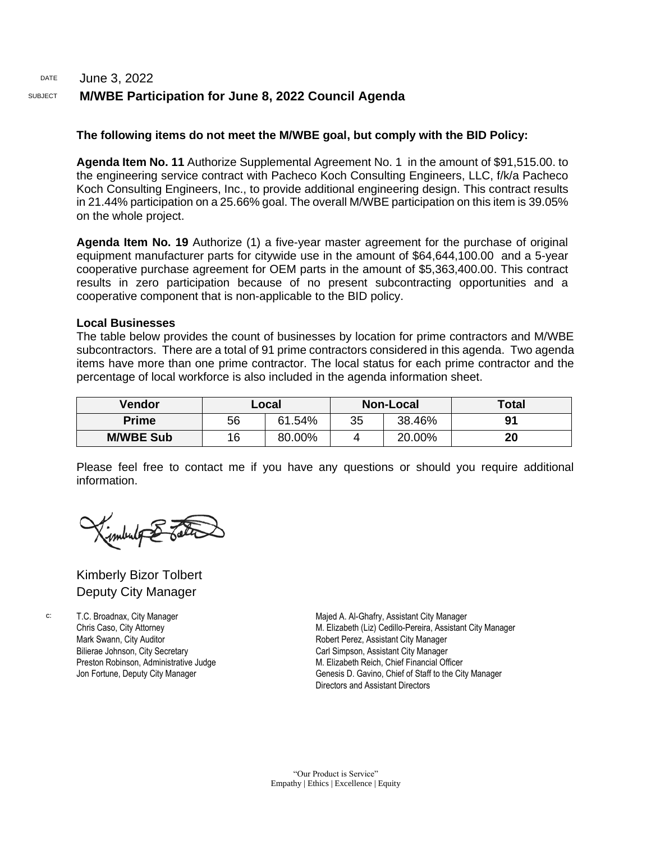### DATE June 3, 2022 SUBJECT **M/WBE Participation for June 8, 2022 Council Agenda**

#### **The following items do not meet the M/WBE goal, but comply with the BID Policy:**

**Agenda Item No. 11** Authorize Supplemental Agreement No. 1 in the amount of \$91,515.00. to the engineering service contract with Pacheco Koch Consulting Engineers, LLC, f/k/a Pacheco Koch Consulting Engineers, Inc., to provide additional engineering design. This contract results in 21.44% participation on a 25.66% goal. The overall M/WBE participation on this item is 39.05% on the whole project.

**Agenda Item No. 19** Authorize (1) a five-year master agreement for the purchase of original equipment manufacturer parts for citywide use in the amount of \$64,644,100.00 and a 5-year cooperative purchase agreement for OEM parts in the amount of \$5,363,400.00. This contract results in zero participation because of no present subcontracting opportunities and a cooperative component that is non-applicable to the BID policy.

#### **Local Businesses**

The table below provides the count of businesses by location for prime contractors and M/WBE subcontractors. There are a total of 91 prime contractors considered in this agenda. Two agenda items have more than one prime contractor. The local status for each prime contractor and the percentage of local workforce is also included in the agenda information sheet.

| Vendor           | Local |        |    | Non-Local | <b>Total</b> |
|------------------|-------|--------|----|-----------|--------------|
| <b>Prime</b>     | 56    | 61.54% | 35 | 38.46%    | Q1           |
| <b>M/WBE Sub</b> | 16    | 80.00% |    | 20.00%    | 20           |

Please feel free to contact me if you have any questions or should you require additional information.

imbulg & Tata

### Kimberly Bizor Tolbert Deputy City Manager

c: T.C. Broadnax, City Manager Chris Caso, City Attorney Mark Swann, City Auditor Bilierae Johnson, City Secretary Preston Robinson, Administrative Judge Jon Fortune, Deputy City Manager

Majed A. Al-Ghafry, Assistant City Manager M. Elizabeth (Liz) Cedillo-Pereira, Assistant City Manager Robert Perez, Assistant City Manager Carl Simpson, Assistant City Manager M. Elizabeth Reich, Chief Financial Officer Genesis D. Gavino, Chief of Staff to the City Manager Directors and Assistant Directors

"Our Product is Service" Empathy | Ethics | Excellence | Equity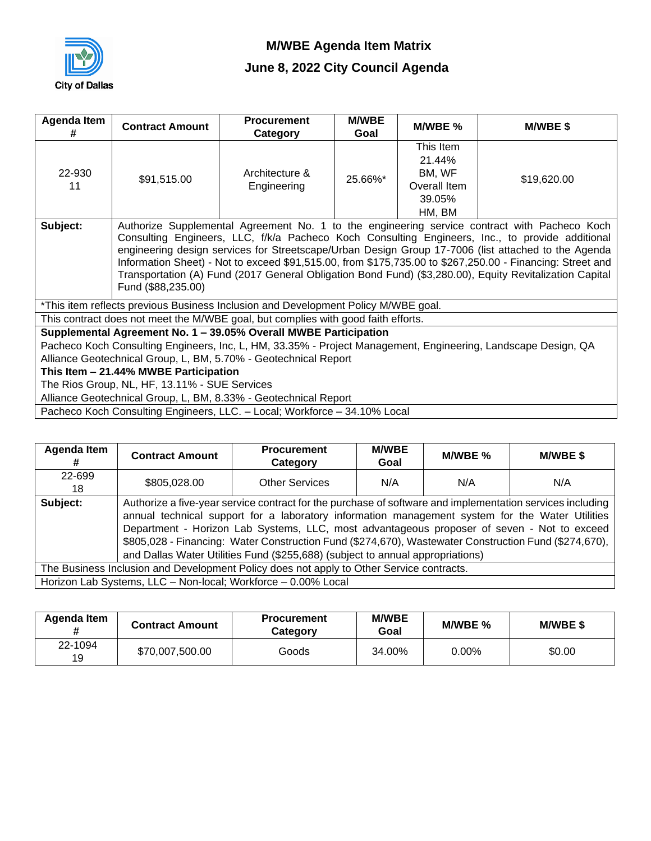

# **M/WBE Agenda Item Matrix June 8, 2022 City Council Agenda**

| Agenda Item<br>#                                                | <b>Contract Amount</b>                                                                                                                                                                                                                                                                                                                                                                                                                                                                                                                               | <b>Procurement</b><br>Category                                                     | <b>M/WBE</b><br>Goal | M/WBE %                                                           | M/WBE\$                                                                                                       |  |  |  |
|-----------------------------------------------------------------|------------------------------------------------------------------------------------------------------------------------------------------------------------------------------------------------------------------------------------------------------------------------------------------------------------------------------------------------------------------------------------------------------------------------------------------------------------------------------------------------------------------------------------------------------|------------------------------------------------------------------------------------|----------------------|-------------------------------------------------------------------|---------------------------------------------------------------------------------------------------------------|--|--|--|
| 22-930<br>11                                                    | \$91,515.00                                                                                                                                                                                                                                                                                                                                                                                                                                                                                                                                          | Architecture &<br>Engineering                                                      | 25.66%*              | This Item<br>21.44%<br>BM, WF<br>Overall Item<br>39.05%<br>HM, BM | \$19,620.00                                                                                                   |  |  |  |
| Subject:                                                        | Authorize Supplemental Agreement No. 1 to the engineering service contract with Pacheco Koch<br>Consulting Engineers, LLC, f/k/a Pacheco Koch Consulting Engineers, Inc., to provide additional<br>engineering design services for Streetscape/Urban Design Group 17-7006 (list attached to the Agenda<br>Information Sheet) - Not to exceed \$91,515.00, from \$175,735.00 to \$267,250.00 - Financing: Street and<br>Transportation (A) Fund (2017 General Obligation Bond Fund) (\$3,280.00), Equity Revitalization Capital<br>Fund (\$88,235.00) |                                                                                    |                      |                                                                   |                                                                                                               |  |  |  |
|                                                                 |                                                                                                                                                                                                                                                                                                                                                                                                                                                                                                                                                      | *This item reflects previous Business Inclusion and Development Policy M/WBE goal. |                      |                                                                   |                                                                                                               |  |  |  |
|                                                                 |                                                                                                                                                                                                                                                                                                                                                                                                                                                                                                                                                      | This contract does not meet the M/WBE goal, but complies with good faith efforts.  |                      |                                                                   |                                                                                                               |  |  |  |
|                                                                 |                                                                                                                                                                                                                                                                                                                                                                                                                                                                                                                                                      | Supplemental Agreement No. 1 - 39.05% Overall MWBE Participation                   |                      |                                                                   |                                                                                                               |  |  |  |
|                                                                 |                                                                                                                                                                                                                                                                                                                                                                                                                                                                                                                                                      |                                                                                    |                      |                                                                   | Pacheco Koch Consulting Engineers, Inc, L, HM, 33.35% - Project Management, Engineering, Landscape Design, QA |  |  |  |
| Alliance Geotechnical Group, L, BM, 5.70% - Geotechnical Report |                                                                                                                                                                                                                                                                                                                                                                                                                                                                                                                                                      |                                                                                    |                      |                                                                   |                                                                                                               |  |  |  |
| This Item - 21.44% MWBE Participation                           |                                                                                                                                                                                                                                                                                                                                                                                                                                                                                                                                                      |                                                                                    |                      |                                                                   |                                                                                                               |  |  |  |
|                                                                 | The Rios Group, NL, HF, 13.11% - SUE Services<br>Alliance Geotechnical Group, L, BM, 8.33% - Geotechnical Report                                                                                                                                                                                                                                                                                                                                                                                                                                     |                                                                                    |                      |                                                                   |                                                                                                               |  |  |  |
|                                                                 |                                                                                                                                                                                                                                                                                                                                                                                                                                                                                                                                                      | Pacheco Koch Consulting Engineers, LLC. - Local; Workforce - 34.10% Local          |                      |                                                                   |                                                                                                               |  |  |  |

| Agenda Item<br>#                                                                         | <b>Contract Amount</b>                                                                                                                                                                                                                                                                                                                                                                                                                                                                                | <b>Procurement</b><br>Category                                | <b>M/WBE</b><br>Goal | M/WBE % | M/WBE\$ |  |  |
|------------------------------------------------------------------------------------------|-------------------------------------------------------------------------------------------------------------------------------------------------------------------------------------------------------------------------------------------------------------------------------------------------------------------------------------------------------------------------------------------------------------------------------------------------------------------------------------------------------|---------------------------------------------------------------|----------------------|---------|---------|--|--|
| 22-699<br>18                                                                             | \$805,028.00                                                                                                                                                                                                                                                                                                                                                                                                                                                                                          | <b>Other Services</b>                                         | N/A                  | N/A     | N/A     |  |  |
| Subject:                                                                                 | Authorize a five-year service contract for the purchase of software and implementation services including<br>annual technical support for a laboratory information management system for the Water Utilities<br>Department - Horizon Lab Systems, LLC, most advantageous proposer of seven - Not to exceed<br>\$805,028 - Financing: Water Construction Fund (\$274,670), Wastewater Construction Fund (\$274,670),<br>and Dallas Water Utilities Fund (\$255,688) (subject to annual appropriations) |                                                               |                      |         |         |  |  |
| The Business Inclusion and Development Policy does not apply to Other Service contracts. |                                                                                                                                                                                                                                                                                                                                                                                                                                                                                                       |                                                               |                      |         |         |  |  |
|                                                                                          |                                                                                                                                                                                                                                                                                                                                                                                                                                                                                                       | Horizon Lab Systems, LLC - Non-local; Workforce - 0.00% Local |                      |         |         |  |  |

| Agenda Item   | <b>Contract Amount</b> | <b>Procurement</b><br>Category | <b>M/WBE</b><br>Goal | M/WBE % | <b>M/WBE \$</b> |
|---------------|------------------------|--------------------------------|----------------------|---------|-----------------|
| 22-1094<br>19 | \$70,007,500.00        | Goods                          | 34.00%               | 0.00%   | \$0.00          |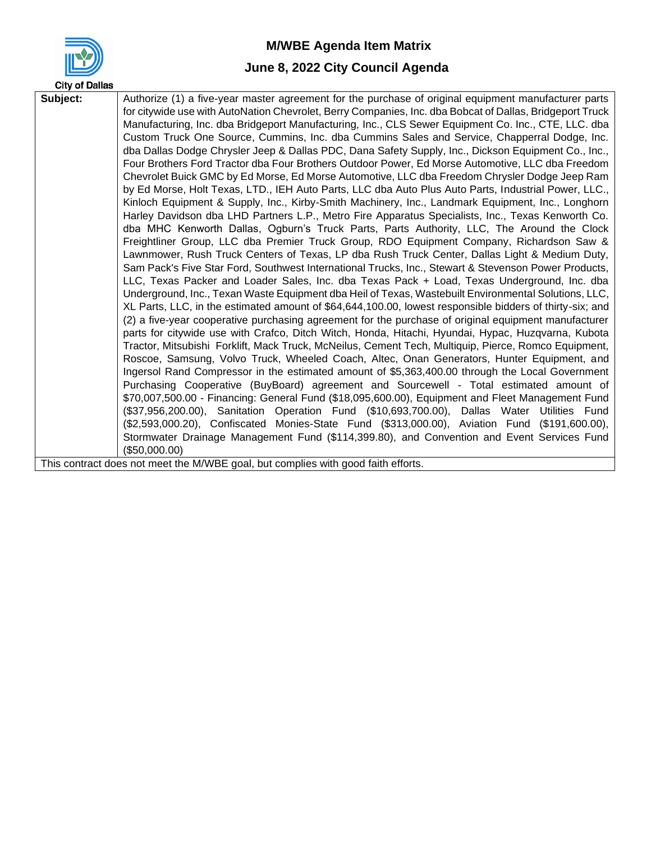

## **June 8, 2022 City Council Agenda**

| Subject: | Authorize (1) a five-year master agreement for the purchase of original equipment manufacturer parts     |
|----------|----------------------------------------------------------------------------------------------------------|
|          | for citywide use with AutoNation Chevrolet, Berry Companies, Inc. dba Bobcat of Dallas, Bridgeport Truck |
|          | Manufacturing, Inc. dba Bridgeport Manufacturing, Inc., CLS Sewer Equipment Co. Inc., CTE, LLC. dba      |
|          | Custom Truck One Source, Cummins, Inc. dba Cummins Sales and Service, Chapperral Dodge, Inc.             |
|          | dba Dallas Dodge Chrysler Jeep & Dallas PDC, Dana Safety Supply, Inc., Dickson Equipment Co., Inc.,      |
|          | Four Brothers Ford Tractor dba Four Brothers Outdoor Power, Ed Morse Automotive, LLC dba Freedom         |
|          | Chevrolet Buick GMC by Ed Morse, Ed Morse Automotive, LLC dba Freedom Chrysler Dodge Jeep Ram            |
|          | by Ed Morse, Holt Texas, LTD., IEH Auto Parts, LLC dba Auto Plus Auto Parts, Industrial Power, LLC.,     |
|          | Kinloch Equipment & Supply, Inc., Kirby-Smith Machinery, Inc., Landmark Equipment, Inc., Longhorn        |
|          | Harley Davidson dba LHD Partners L.P., Metro Fire Apparatus Specialists, Inc., Texas Kenworth Co.        |
|          | dba MHC Kenworth Dallas, Ogburn's Truck Parts, Parts Authority, LLC, The Around the Clock                |
|          | Freightliner Group, LLC dba Premier Truck Group, RDO Equipment Company, Richardson Saw &                 |
|          | Lawnmower, Rush Truck Centers of Texas, LP dba Rush Truck Center, Dallas Light & Medium Duty,            |
|          | Sam Pack's Five Star Ford, Southwest International Trucks, Inc., Stewart & Stevenson Power Products,     |
|          | LLC, Texas Packer and Loader Sales, Inc. dba Texas Pack + Load, Texas Underground, Inc. dba              |
|          | Underground, Inc., Texan Waste Equipment dba Heil of Texas, Wastebuilt Environmental Solutions, LLC,     |
|          | XL Parts, LLC, in the estimated amount of \$64,644,100.00, lowest responsible bidders of thirty-six; and |
|          | (2) a five-year cooperative purchasing agreement for the purchase of original equipment manufacturer     |
|          | parts for citywide use with Crafco, Ditch Witch, Honda, Hitachi, Hyundai, Hypac, Huzqvarna, Kubota       |
|          | Tractor, Mitsubishi Forklift, Mack Truck, McNeilus, Cement Tech, Multiquip, Pierce, Romco Equipment,     |
|          | Roscoe, Samsung, Volvo Truck, Wheeled Coach, Altec, Onan Generators, Hunter Equipment, and               |
|          | Ingersol Rand Compressor in the estimated amount of \$5,363,400.00 through the Local Government          |
|          | Purchasing Cooperative (BuyBoard) agreement and Sourcewell - Total estimated amount of                   |
|          | \$70,007,500.00 - Financing: General Fund (\$18,095,600.00), Equipment and Fleet Management Fund         |
|          | (\$37,956,200.00), Sanitation Operation Fund (\$10,693,700.00), Dallas Water Utilities Fund              |
|          | (\$2,593,000.20), Confiscated Monies-State Fund (\$313,000.00), Aviation Fund (\$191,600.00),            |
|          | Stormwater Drainage Management Fund (\$114,399.80), and Convention and Event Services Fund               |
|          | (\$50,000.00)                                                                                            |

This contract does not meet the M/WBE goal, but complies with good faith efforts.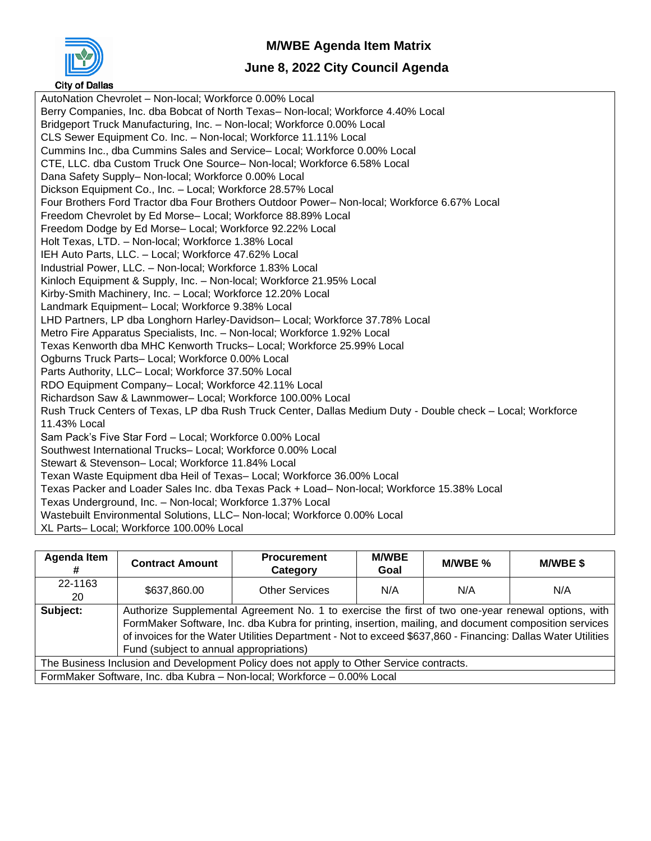

### **June 8, 2022 City Council Agenda**

AutoNation Chevrolet – Non-local; Workforce 0.00% Local Berry Companies, Inc. dba Bobcat of North Texas– Non-local; Workforce 4.40% Local Bridgeport Truck Manufacturing, Inc. – Non-local; Workforce 0.00% Local CLS Sewer Equipment Co. Inc. – Non-local; Workforce 11.11% Local Cummins Inc., dba Cummins Sales and Service– Local; Workforce 0.00% Local CTE, LLC. dba Custom Truck One Source– Non-local; Workforce 6.58% Local Dana Safety Supply– Non-local; Workforce 0.00% Local Dickson Equipment Co., Inc. – Local; Workforce 28.57% Local Four Brothers Ford Tractor dba Four Brothers Outdoor Power– Non-local; Workforce 6.67% Local Freedom Chevrolet by Ed Morse– Local; Workforce 88.89% Local Freedom Dodge by Ed Morse– Local; Workforce 92.22% Local Holt Texas, LTD. – Non-local; Workforce 1.38% Local IEH Auto Parts, LLC. – Local; Workforce 47.62% Local Industrial Power, LLC. – Non-local; Workforce 1.83% Local Kinloch Equipment & Supply, Inc. – Non-local; Workforce 21.95% Local Kirby-Smith Machinery, Inc. – Local; Workforce 12.20% Local Landmark Equipment– Local; Workforce 9.38% Local LHD Partners, LP dba Longhorn Harley-Davidson– Local; Workforce 37.78% Local Metro Fire Apparatus Specialists, Inc. – Non-local; Workforce 1.92% Local Texas Kenworth dba MHC Kenworth Trucks– Local; Workforce 25.99% Local Ogburns Truck Parts– Local; Workforce 0.00% Local Parts Authority, LLC– Local; Workforce 37.50% Local RDO Equipment Company– Local; Workforce 42.11% Local Richardson Saw & Lawnmower– Local; Workforce 100.00% Local Rush Truck Centers of Texas, LP dba Rush Truck Center, Dallas Medium Duty - Double check – Local; Workforce 11.43% Local Sam Pack's Five Star Ford – Local; Workforce 0.00% Local Southwest International Trucks– Local; Workforce 0.00% Local Stewart & Stevenson– Local; Workforce 11.84% Local Texan Waste Equipment dba Heil of Texas– Local; Workforce 36.00% Local Texas Packer and Loader Sales Inc. dba Texas Pack + Load– Non-local; Workforce 15.38% Local Texas Underground, Inc. – Non-local; Workforce 1.37% Local Wastebuilt Environmental Solutions, LLC– Non-local; Workforce 0.00% Local XL Parts– Local; Workforce 100.00% Local

| Agenda Item   | <b>Contract Amount</b>                                                                                                                                                                                                                                                                                                                                                  | <b>Procurement</b><br>Category                                          | <b>M/WBE</b><br>Goal | M/WBE % | <b>M/WBE \$</b> |  |  |  |
|---------------|-------------------------------------------------------------------------------------------------------------------------------------------------------------------------------------------------------------------------------------------------------------------------------------------------------------------------------------------------------------------------|-------------------------------------------------------------------------|----------------------|---------|-----------------|--|--|--|
| 22-1163<br>20 | \$637,860.00                                                                                                                                                                                                                                                                                                                                                            | <b>Other Services</b>                                                   | N/A                  | N/A     | N/A             |  |  |  |
| Subject:      | Authorize Supplemental Agreement No. 1 to exercise the first of two one-year renewal options, with<br>FormMaker Software, Inc. dba Kubra for printing, insertion, mailing, and document composition services<br>of invoices for the Water Utilities Department - Not to exceed \$637,860 - Financing: Dallas Water Utilities<br>Fund (subject to annual appropriations) |                                                                         |                      |         |                 |  |  |  |
|               | The Business Inclusion and Development Policy does not apply to Other Service contracts.                                                                                                                                                                                                                                                                                |                                                                         |                      |         |                 |  |  |  |
|               |                                                                                                                                                                                                                                                                                                                                                                         | FormMaker Software, Inc. dba Kubra - Non-local; Workforce - 0.00% Local |                      |         |                 |  |  |  |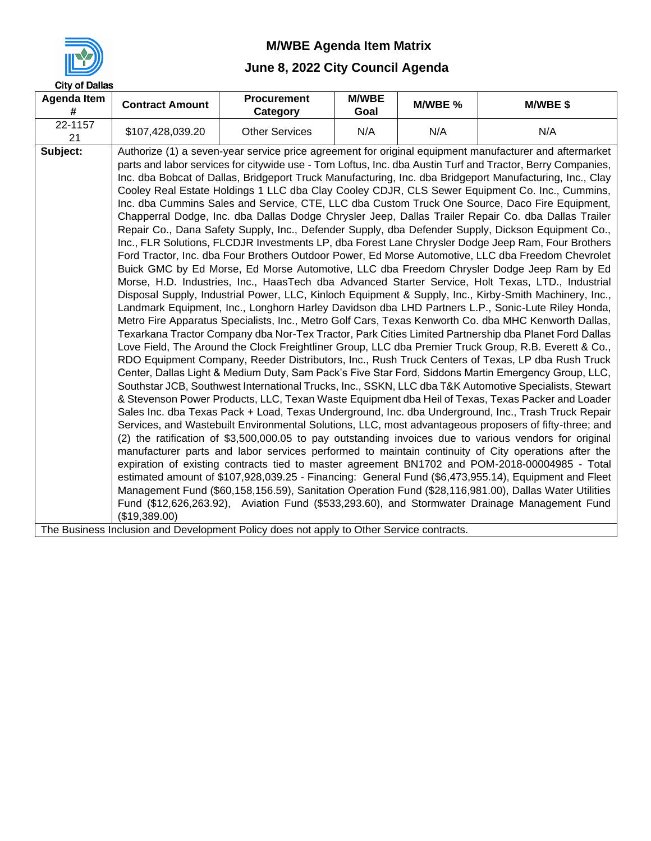

| <b>Agenda Item</b><br># | <b>Contract Amount</b>                                                                                     | <b>Procurement</b><br>Category                                                                         | <b>M/WBE</b><br>Goal | M/WBE % | M/WBE\$                                                                                                                                                                                                          |  |  |  |  |
|-------------------------|------------------------------------------------------------------------------------------------------------|--------------------------------------------------------------------------------------------------------|----------------------|---------|------------------------------------------------------------------------------------------------------------------------------------------------------------------------------------------------------------------|--|--|--|--|
| 22-1157<br>21           | \$107,428,039.20                                                                                           | <b>Other Services</b>                                                                                  | N/A                  | N/A     | N/A                                                                                                                                                                                                              |  |  |  |  |
| Subject:                |                                                                                                            | Authorize (1) a seven-year service price agreement for original equipment manufacturer and aftermarket |                      |         |                                                                                                                                                                                                                  |  |  |  |  |
|                         | parts and labor services for citywide use - Tom Loftus, Inc. dba Austin Turf and Tractor, Berry Companies, |                                                                                                        |                      |         |                                                                                                                                                                                                                  |  |  |  |  |
|                         |                                                                                                            |                                                                                                        |                      |         | Inc. dba Bobcat of Dallas, Bridgeport Truck Manufacturing, Inc. dba Bridgeport Manufacturing, Inc., Clay                                                                                                         |  |  |  |  |
|                         |                                                                                                            |                                                                                                        |                      |         | Cooley Real Estate Holdings 1 LLC dba Clay Cooley CDJR, CLS Sewer Equipment Co. Inc., Cummins,                                                                                                                   |  |  |  |  |
|                         |                                                                                                            |                                                                                                        |                      |         | Inc. dba Cummins Sales and Service, CTE, LLC dba Custom Truck One Source, Daco Fire Equipment,                                                                                                                   |  |  |  |  |
|                         |                                                                                                            |                                                                                                        |                      |         | Chapperral Dodge, Inc. dba Dallas Dodge Chrysler Jeep, Dallas Trailer Repair Co. dba Dallas Trailer                                                                                                              |  |  |  |  |
|                         |                                                                                                            |                                                                                                        |                      |         | Repair Co., Dana Safety Supply, Inc., Defender Supply, dba Defender Supply, Dickson Equipment Co.,                                                                                                               |  |  |  |  |
|                         |                                                                                                            |                                                                                                        |                      |         | Inc., FLR Solutions, FLCDJR Investments LP, dba Forest Lane Chrysler Dodge Jeep Ram, Four Brothers                                                                                                               |  |  |  |  |
|                         |                                                                                                            |                                                                                                        |                      |         | Ford Tractor, Inc. dba Four Brothers Outdoor Power, Ed Morse Automotive, LLC dba Freedom Chevrolet                                                                                                               |  |  |  |  |
|                         |                                                                                                            |                                                                                                        |                      |         | Buick GMC by Ed Morse, Ed Morse Automotive, LLC dba Freedom Chrysler Dodge Jeep Ram by Ed<br>Morse, H.D. Industries, Inc., HaasTech dba Advanced Starter Service, Holt Texas, LTD., Industrial                   |  |  |  |  |
|                         |                                                                                                            |                                                                                                        |                      |         | Disposal Supply, Industrial Power, LLC, Kinloch Equipment & Supply, Inc., Kirby-Smith Machinery, Inc.,                                                                                                           |  |  |  |  |
|                         |                                                                                                            |                                                                                                        |                      |         | Landmark Equipment, Inc., Longhorn Harley Davidson dba LHD Partners L.P., Sonic-Lute Riley Honda,                                                                                                                |  |  |  |  |
|                         |                                                                                                            |                                                                                                        |                      |         | Metro Fire Apparatus Specialists, Inc., Metro Golf Cars, Texas Kenworth Co. dba MHC Kenworth Dallas,                                                                                                             |  |  |  |  |
|                         |                                                                                                            |                                                                                                        |                      |         | Texarkana Tractor Company dba Nor-Tex Tractor, Park Cities Limited Partnership dba Planet Ford Dallas                                                                                                            |  |  |  |  |
|                         |                                                                                                            |                                                                                                        |                      |         | Love Field, The Around the Clock Freightliner Group, LLC dba Premier Truck Group, R.B. Everett & Co.,                                                                                                            |  |  |  |  |
|                         |                                                                                                            |                                                                                                        |                      |         | RDO Equipment Company, Reeder Distributors, Inc., Rush Truck Centers of Texas, LP dba Rush Truck                                                                                                                 |  |  |  |  |
|                         |                                                                                                            |                                                                                                        |                      |         | Center, Dallas Light & Medium Duty, Sam Pack's Five Star Ford, Siddons Martin Emergency Group, LLC,                                                                                                              |  |  |  |  |
|                         |                                                                                                            |                                                                                                        |                      |         | Southstar JCB, Southwest International Trucks, Inc., SSKN, LLC dba T&K Automotive Specialists, Stewart                                                                                                           |  |  |  |  |
|                         |                                                                                                            |                                                                                                        |                      |         | & Stevenson Power Products, LLC, Texan Waste Equipment dba Heil of Texas, Texas Packer and Loader                                                                                                                |  |  |  |  |
|                         |                                                                                                            |                                                                                                        |                      |         | Sales Inc. dba Texas Pack + Load, Texas Underground, Inc. dba Underground, Inc., Trash Truck Repair                                                                                                              |  |  |  |  |
|                         |                                                                                                            |                                                                                                        |                      |         | Services, and Wastebuilt Environmental Solutions, LLC, most advantageous proposers of fifty-three; and<br>(2) the ratification of \$3,500,000.05 to pay outstanding invoices due to various vendors for original |  |  |  |  |
|                         |                                                                                                            |                                                                                                        |                      |         | manufacturer parts and labor services performed to maintain continuity of City operations after the                                                                                                              |  |  |  |  |
|                         |                                                                                                            |                                                                                                        |                      |         | expiration of existing contracts tied to master agreement BN1702 and POM-2018-00004985 - Total                                                                                                                   |  |  |  |  |
|                         |                                                                                                            |                                                                                                        |                      |         | estimated amount of \$107,928,039.25 - Financing: General Fund (\$6,473,955.14), Equipment and Fleet                                                                                                             |  |  |  |  |
|                         |                                                                                                            |                                                                                                        |                      |         | Management Fund (\$60,158,156.59), Sanitation Operation Fund (\$28,116,981.00), Dallas Water Utilities                                                                                                           |  |  |  |  |
|                         |                                                                                                            |                                                                                                        |                      |         | Fund (\$12,626,263.92), Aviation Fund (\$533,293.60), and Stormwater Drainage Management Fund                                                                                                                    |  |  |  |  |
|                         | (\$19,389.00)                                                                                              |                                                                                                        |                      |         |                                                                                                                                                                                                                  |  |  |  |  |
|                         |                                                                                                            | The Business Inclusion and Development Policy does not apply to Other Service contracts.               |                      |         |                                                                                                                                                                                                                  |  |  |  |  |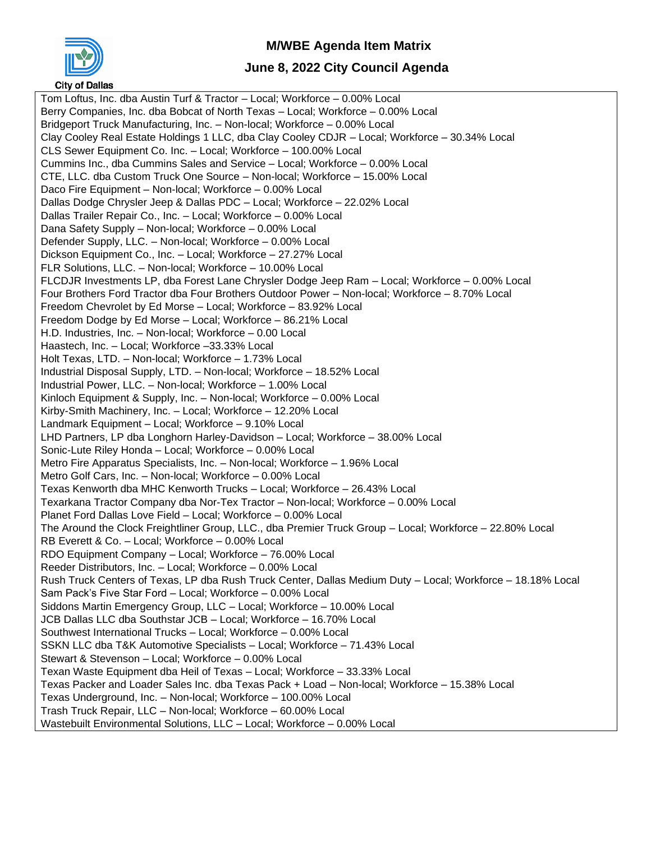

### **June 8, 2022 City Council Agenda**

Tom Loftus, Inc. dba Austin Turf & Tractor – Local; Workforce – 0.00% Local Berry Companies, Inc. dba Bobcat of North Texas – Local; Workforce – 0.00% Local Bridgeport Truck Manufacturing, Inc. – Non-local; Workforce – 0.00% Local Clay Cooley Real Estate Holdings 1 LLC, dba Clay Cooley CDJR – Local; Workforce – 30.34% Local CLS Sewer Equipment Co. Inc. – Local; Workforce – 100.00% Local Cummins Inc., dba Cummins Sales and Service – Local; Workforce – 0.00% Local CTE, LLC. dba Custom Truck One Source – Non-local; Workforce – 15.00% Local Daco Fire Equipment – Non-local; Workforce – 0.00% Local Dallas Dodge Chrysler Jeep & Dallas PDC – Local; Workforce – 22.02% Local Dallas Trailer Repair Co., Inc. – Local; Workforce – 0.00% Local Dana Safety Supply – Non-local; Workforce – 0.00% Local Defender Supply, LLC. – Non-local; Workforce – 0.00% Local Dickson Equipment Co., Inc. – Local; Workforce – 27.27% Local FLR Solutions, LLC. – Non-local; Workforce – 10.00% Local FLCDJR Investments LP, dba Forest Lane Chrysler Dodge Jeep Ram – Local; Workforce – 0.00% Local Four Brothers Ford Tractor dba Four Brothers Outdoor Power – Non-local; Workforce – 8.70% Local Freedom Chevrolet by Ed Morse – Local; Workforce – 83.92% Local Freedom Dodge by Ed Morse – Local; Workforce – 86.21% Local H.D. Industries, Inc. – Non-local; Workforce – 0.00 Local Haastech, Inc. – Local; Workforce –33.33% Local Holt Texas, LTD. – Non-local; Workforce – 1.73% Local Industrial Disposal Supply, LTD. – Non-local; Workforce – 18.52% Local Industrial Power, LLC. – Non-local; Workforce – 1.00% Local Kinloch Equipment & Supply, Inc. – Non-local; Workforce – 0.00% Local Kirby-Smith Machinery, Inc. – Local; Workforce – 12.20% Local Landmark Equipment – Local; Workforce – 9.10% Local LHD Partners, LP dba Longhorn Harley-Davidson – Local; Workforce – 38.00% Local Sonic-Lute Riley Honda – Local; Workforce – 0.00% Local Metro Fire Apparatus Specialists, Inc. – Non-local; Workforce – 1.96% Local Metro Golf Cars, Inc. – Non-local; Workforce – 0.00% Local Texas Kenworth dba MHC Kenworth Trucks – Local; Workforce – 26.43% Local Texarkana Tractor Company dba Nor-Tex Tractor – Non-local; Workforce – 0.00% Local Planet Ford Dallas Love Field – Local; Workforce – 0.00% Local The Around the Clock Freightliner Group, LLC., dba Premier Truck Group – Local; Workforce – 22.80% Local RB Everett & Co. – Local; Workforce – 0.00% Local RDO Equipment Company – Local; Workforce – 76.00% Local Reeder Distributors, Inc. – Local; Workforce – 0.00% Local Rush Truck Centers of Texas, LP dba Rush Truck Center, Dallas Medium Duty – Local; Workforce – 18.18% Local Sam Pack's Five Star Ford – Local; Workforce – 0.00% Local Siddons Martin Emergency Group, LLC – Local; Workforce – 10.00% Local JCB Dallas LLC dba Southstar JCB – Local; Workforce – 16.70% Local Southwest International Trucks – Local; Workforce – 0.00% Local SSKN LLC dba T&K Automotive Specialists – Local; Workforce – 71.43% Local Stewart & Stevenson – Local; Workforce – 0.00% Local Texan Waste Equipment dba Heil of Texas – Local; Workforce – 33.33% Local Texas Packer and Loader Sales Inc. dba Texas Pack + Load – Non-local; Workforce – 15.38% Local Texas Underground, Inc. – Non-local; Workforce – 100.00% Local Trash Truck Repair, LLC – Non-local; Workforce – 60.00% Local Wastebuilt Environmental Solutions, LLC – Local; Workforce – 0.00% Local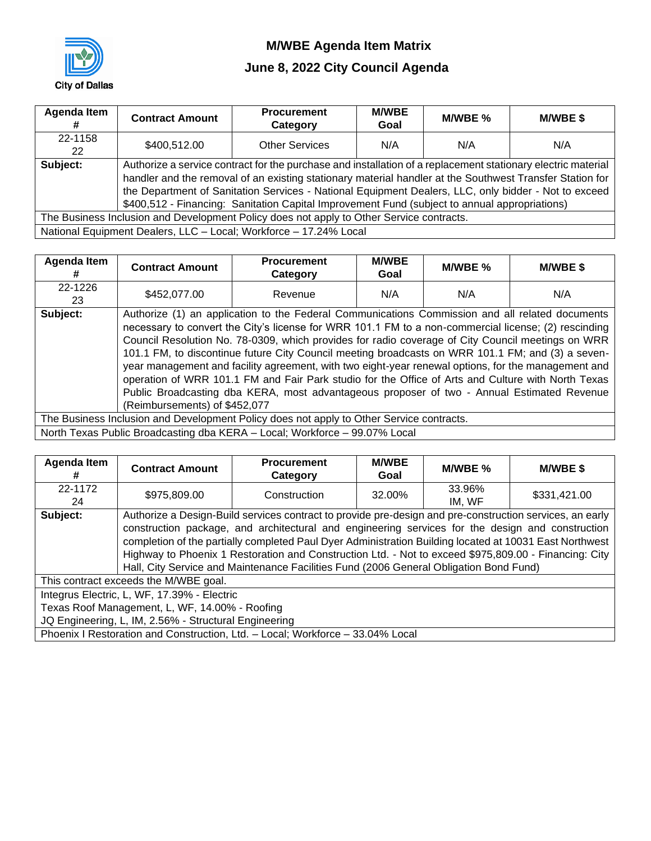

| Agenda Item   | <b>Contract Amount</b>                                                                                                                                                                                                                                                                                                                                                                                                            | <b>Procurement</b><br>Category                                                           | <b>M/WBE</b><br>Goal | M/WBE % | <b>M/WBE \$</b> |  |  |
|---------------|-----------------------------------------------------------------------------------------------------------------------------------------------------------------------------------------------------------------------------------------------------------------------------------------------------------------------------------------------------------------------------------------------------------------------------------|------------------------------------------------------------------------------------------|----------------------|---------|-----------------|--|--|
| 22-1158<br>22 | \$400,512.00                                                                                                                                                                                                                                                                                                                                                                                                                      | <b>Other Services</b>                                                                    | N/A                  | N/A     | N/A             |  |  |
| Subject:      | Authorize a service contract for the purchase and installation of a replacement stationary electric material<br>handler and the removal of an existing stationary material handler at the Southwest Transfer Station for<br>the Department of Sanitation Services - National Equipment Dealers, LLC, only bidder - Not to exceed<br>\$400,512 - Financing: Sanitation Capital Improvement Fund (subject to annual appropriations) |                                                                                          |                      |         |                 |  |  |
|               |                                                                                                                                                                                                                                                                                                                                                                                                                                   | The Business Inclusion and Development Policy does not apply to Other Service contracts. |                      |         |                 |  |  |
|               | National Equipment Dealers, LLC - Local; Workforce - 17.24% Local                                                                                                                                                                                                                                                                                                                                                                 |                                                                                          |                      |         |                 |  |  |

| Agenda Item   | <b>Contract Amount</b>        | <b>Procurement</b><br>Category                                                                                                                                                                                                                                                                                                                                                                                                                                                                                                                                                                                                                                                                                               | <b>M/WBE</b><br>Goal | M/WBE % | <b>M/WBE \$</b> |
|---------------|-------------------------------|------------------------------------------------------------------------------------------------------------------------------------------------------------------------------------------------------------------------------------------------------------------------------------------------------------------------------------------------------------------------------------------------------------------------------------------------------------------------------------------------------------------------------------------------------------------------------------------------------------------------------------------------------------------------------------------------------------------------------|----------------------|---------|-----------------|
| 22-1226<br>23 | \$452,077.00                  | Revenue                                                                                                                                                                                                                                                                                                                                                                                                                                                                                                                                                                                                                                                                                                                      | N/A                  | N/A     | N/A             |
| Subject:      | (Reimbursements) of \$452,077 | Authorize (1) an application to the Federal Communications Commission and all related documents<br>necessary to convert the City's license for WRR 101.1 FM to a non-commercial license; (2) rescinding<br>Council Resolution No. 78-0309, which provides for radio coverage of City Council meetings on WRR<br>101.1 FM, to discontinue future City Council meeting broadcasts on WRR 101.1 FM; and (3) a seven-<br>year management and facility agreement, with two eight-year renewal options, for the management and<br>operation of WRR 101.1 FM and Fair Park studio for the Office of Arts and Culture with North Texas<br>Public Broadcasting dba KERA, most advantageous proposer of two - Annual Estimated Revenue |                      |         |                 |
|               |                               | The Business Inclusion and Development Policy does not apply to Other Service contracts.                                                                                                                                                                                                                                                                                                                                                                                                                                                                                                                                                                                                                                     |                      |         |                 |
|               |                               | North Texas Public Broadcasting dba KERA - Local; Workforce - 99.07% Local                                                                                                                                                                                                                                                                                                                                                                                                                                                                                                                                                                                                                                                   |                      |         |                 |

| Agenda Item   | <b>Contract Amount</b>                                                                                   | <b>Procurement</b><br>Category                                                         | <b>M/WBE</b><br>Goal | M/WBE %      | <b>M/WBE \$</b> |  |  |  |  |  |  |  |
|---------------|----------------------------------------------------------------------------------------------------------|----------------------------------------------------------------------------------------|----------------------|--------------|-----------------|--|--|--|--|--|--|--|
| 22-1172<br>24 | \$975,809.00                                                                                             | Construction                                                                           | 33.96%<br>IM, WF     | \$331,421.00 |                 |  |  |  |  |  |  |  |
| Subject:      | Authorize a Design-Build services contract to provide pre-design and pre-construction services, an early |                                                                                        |                      |              |                 |  |  |  |  |  |  |  |
|               | construction package, and architectural and engineering services for the design and construction         |                                                                                        |                      |              |                 |  |  |  |  |  |  |  |
|               | completion of the partially completed Paul Dyer Administration Building located at 10031 East Northwest  |                                                                                        |                      |              |                 |  |  |  |  |  |  |  |
|               | Highway to Phoenix 1 Restoration and Construction Ltd. - Not to exceed \$975,809.00 - Financing: City    |                                                                                        |                      |              |                 |  |  |  |  |  |  |  |
|               |                                                                                                          | Hall, City Service and Maintenance Facilities Fund (2006 General Obligation Bond Fund) |                      |              |                 |  |  |  |  |  |  |  |
|               | This contract exceeds the M/WBE goal.                                                                    |                                                                                        |                      |              |                 |  |  |  |  |  |  |  |
|               | Integrus Electric, L, WF, 17.39% - Electric                                                              |                                                                                        |                      |              |                 |  |  |  |  |  |  |  |
|               | Texas Roof Management, L, WF, 14.00% - Roofing                                                           |                                                                                        |                      |              |                 |  |  |  |  |  |  |  |
|               | JQ Engineering, L, IM, 2.56% - Structural Engineering                                                    |                                                                                        |                      |              |                 |  |  |  |  |  |  |  |
|               |                                                                                                          | Phoenix I Restoration and Construction, Ltd. - Local; Workforce - 33.04% Local         |                      |              |                 |  |  |  |  |  |  |  |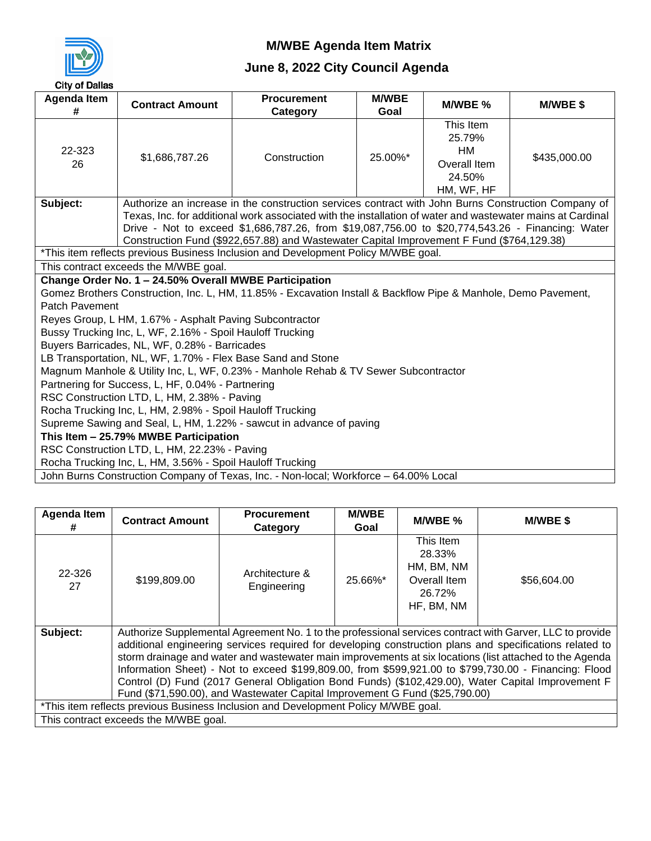

| <b>City of Dallas</b> |
|-----------------------|
|-----------------------|

| Agenda Item                                                                                     | <b>Contract Amount</b>                                                                                     | <b>Procurement</b>                                                                                             | <b>M/WBE</b> | M/WBE %                                                           | <b>M/WBE \$</b> |  |  |  |  |  |  |  |  |
|-------------------------------------------------------------------------------------------------|------------------------------------------------------------------------------------------------------------|----------------------------------------------------------------------------------------------------------------|--------------|-------------------------------------------------------------------|-----------------|--|--|--|--|--|--|--|--|
| #                                                                                               |                                                                                                            | Category                                                                                                       | Goal         |                                                                   |                 |  |  |  |  |  |  |  |  |
| 22-323<br>26                                                                                    | \$1,686,787.26                                                                                             | Construction                                                                                                   | 25.00%*      | This Item<br>25.79%<br>HM<br>Overall Item<br>24.50%<br>HM, WF, HF | \$435,000.00    |  |  |  |  |  |  |  |  |
| Subject:                                                                                        |                                                                                                            | Authorize an increase in the construction services contract with John Burns Construction Company of            |              |                                                                   |                 |  |  |  |  |  |  |  |  |
|                                                                                                 | Texas, Inc. for additional work associated with the installation of water and wastewater mains at Cardinal |                                                                                                                |              |                                                                   |                 |  |  |  |  |  |  |  |  |
|                                                                                                 | Drive - Not to exceed \$1,686,787.26, from \$19,087,756.00 to \$20,774,543.26 - Financing: Water           |                                                                                                                |              |                                                                   |                 |  |  |  |  |  |  |  |  |
| Construction Fund (\$922,657.88) and Wastewater Capital Improvement F Fund (\$764,129.38)       |                                                                                                            |                                                                                                                |              |                                                                   |                 |  |  |  |  |  |  |  |  |
| *This item reflects previous Business Inclusion and Development Policy M/WBE goal.              |                                                                                                            |                                                                                                                |              |                                                                   |                 |  |  |  |  |  |  |  |  |
| This contract exceeds the M/WBE goal.<br>Change Order No. 1 - 24.50% Overall MWBE Participation |                                                                                                            |                                                                                                                |              |                                                                   |                 |  |  |  |  |  |  |  |  |
|                                                                                                 |                                                                                                            | Gomez Brothers Construction, Inc. L, HM, 11.85% - Excavation Install & Backflow Pipe & Manhole, Demo Pavement, |              |                                                                   |                 |  |  |  |  |  |  |  |  |
| <b>Patch Pavement</b>                                                                           |                                                                                                            |                                                                                                                |              |                                                                   |                 |  |  |  |  |  |  |  |  |
|                                                                                                 | Reyes Group, L HM, 1.67% - Asphalt Paving Subcontractor                                                    |                                                                                                                |              |                                                                   |                 |  |  |  |  |  |  |  |  |
|                                                                                                 | Bussy Trucking Inc, L, WF, 2.16% - Spoil Hauloff Trucking                                                  |                                                                                                                |              |                                                                   |                 |  |  |  |  |  |  |  |  |
|                                                                                                 | Buyers Barricades, NL, WF, 0.28% - Barricades                                                              |                                                                                                                |              |                                                                   |                 |  |  |  |  |  |  |  |  |
|                                                                                                 | LB Transportation, NL, WF, 1.70% - Flex Base Sand and Stone                                                |                                                                                                                |              |                                                                   |                 |  |  |  |  |  |  |  |  |
|                                                                                                 |                                                                                                            | Magnum Manhole & Utility Inc, L, WF, 0.23% - Manhole Rehab & TV Sewer Subcontractor                            |              |                                                                   |                 |  |  |  |  |  |  |  |  |
|                                                                                                 | Partnering for Success, L, HF, 0.04% - Partnering                                                          |                                                                                                                |              |                                                                   |                 |  |  |  |  |  |  |  |  |
|                                                                                                 | RSC Construction LTD, L, HM, 2.38% - Paving                                                                |                                                                                                                |              |                                                                   |                 |  |  |  |  |  |  |  |  |
|                                                                                                 | Rocha Trucking Inc, L, HM, 2.98% - Spoil Hauloff Trucking                                                  |                                                                                                                |              |                                                                   |                 |  |  |  |  |  |  |  |  |
|                                                                                                 |                                                                                                            | Supreme Sawing and Seal, L, HM, 1.22% - sawcut in advance of paving                                            |              |                                                                   |                 |  |  |  |  |  |  |  |  |
|                                                                                                 | This Item - 25.79% MWBE Participation                                                                      |                                                                                                                |              |                                                                   |                 |  |  |  |  |  |  |  |  |
|                                                                                                 | RSC Construction LTD, L, HM, 22.23% - Paving                                                               |                                                                                                                |              |                                                                   |                 |  |  |  |  |  |  |  |  |
|                                                                                                 | Rocha Trucking Inc, L, HM, 3.56% - Spoil Hauloff Trucking                                                  |                                                                                                                |              |                                                                   |                 |  |  |  |  |  |  |  |  |
|                                                                                                 |                                                                                                            | John Burns Construction Company of Texas, Inc. - Non-local; Workforce - 64.00% Local                           |              |                                                                   |                 |  |  |  |  |  |  |  |  |

| Agenda Item  | <b>Contract Amount</b>                | <b>Procurement</b><br>Category                                                     | <b>M/WBE</b><br>Goal | M/WBE %                                                                   | <b>M/WBE \$</b>                                                                                                                                                                                                                                                                                                                                                                                                                                                                                                                               |
|--------------|---------------------------------------|------------------------------------------------------------------------------------|----------------------|---------------------------------------------------------------------------|-----------------------------------------------------------------------------------------------------------------------------------------------------------------------------------------------------------------------------------------------------------------------------------------------------------------------------------------------------------------------------------------------------------------------------------------------------------------------------------------------------------------------------------------------|
| 22-326<br>27 | \$199,809.00                          | Architecture &<br>Engineering                                                      | 25.66%*              | This Item<br>28.33%<br>HM, BM, NM<br>Overall Item<br>26.72%<br>HF, BM, NM | \$56,604.00                                                                                                                                                                                                                                                                                                                                                                                                                                                                                                                                   |
| Subject:     |                                       | Fund (\$71,590.00), and Wastewater Capital Improvement G Fund (\$25,790.00)        |                      |                                                                           | Authorize Supplemental Agreement No. 1 to the professional services contract with Garver, LLC to provide<br>additional engineering services required for developing construction plans and specifications related to<br>storm drainage and water and wastewater main improvements at six locations (list attached to the Agenda<br>Information Sheet) - Not to exceed \$199,809.00, from \$599,921.00 to \$799,730.00 - Financing: Flood<br>Control (D) Fund (2017 General Obligation Bond Funds) (\$102,429.00), Water Capital Improvement F |
|              |                                       | *This item reflects previous Business Inclusion and Development Policy M/WBE goal. |                      |                                                                           |                                                                                                                                                                                                                                                                                                                                                                                                                                                                                                                                               |
|              | This contract exceeds the M/WBE goal. |                                                                                    |                      |                                                                           |                                                                                                                                                                                                                                                                                                                                                                                                                                                                                                                                               |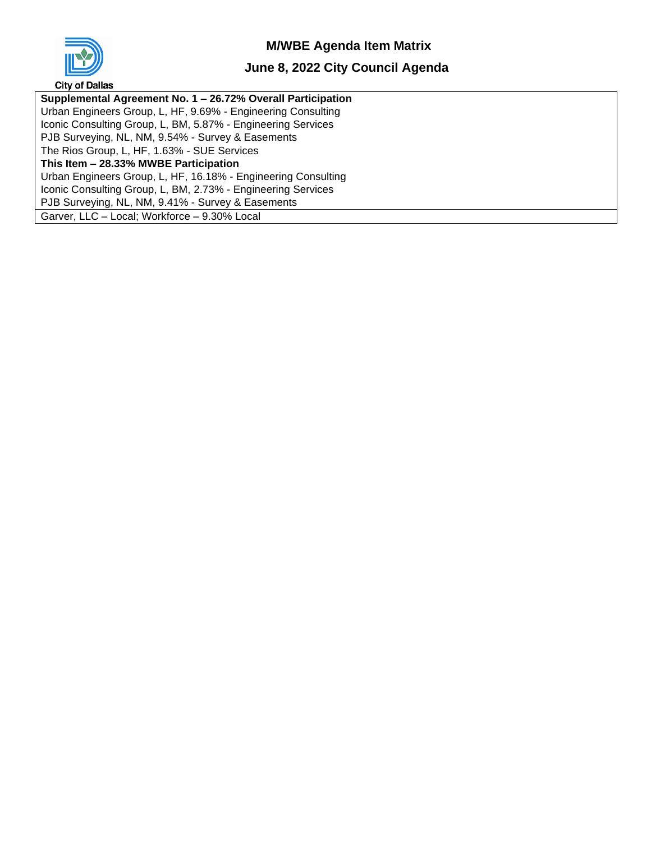

| <b>URV UI DAHAS</b>                                           |
|---------------------------------------------------------------|
| Supplemental Agreement No. 1 - 26.72% Overall Participation   |
| Urban Engineers Group, L, HF, 9.69% - Engineering Consulting  |
| Iconic Consulting Group, L, BM, 5.87% - Engineering Services  |
| PJB Surveying, NL, NM, 9.54% - Survey & Easements             |
| The Rios Group, L, HF, 1.63% - SUE Services                   |
| This Item - 28.33% MWBE Participation                         |
| Urban Engineers Group, L, HF, 16.18% - Engineering Consulting |
| Iconic Consulting Group, L, BM, 2.73% - Engineering Services  |
| PJB Surveying, NL, NM, 9.41% - Survey & Easements             |
| Garver, LLC - Local; Workforce - 9.30% Local                  |
|                                                               |